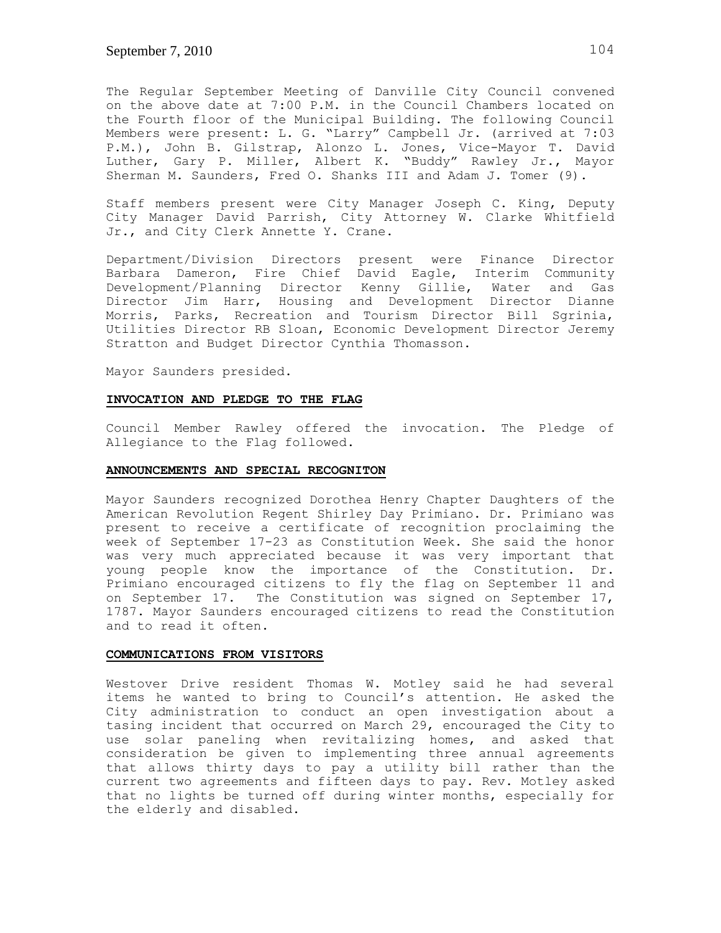The Regular September Meeting of Danville City Council convened on the above date at 7:00 P.M. in the Council Chambers located on the Fourth floor of the Municipal Building. The following Council Members were present: L. G. "Larry" Campbell Jr. (arrived at 7:03 P.M.), John B. Gilstrap, Alonzo L. Jones, Vice-Mayor T. David Luther, Gary P. Miller, Albert K. "Buddy" Rawley Jr., Mayor Sherman M. Saunders, Fred O. Shanks III and Adam J. Tomer (9).

Staff members present were City Manager Joseph C. King, Deputy City Manager David Parrish, City Attorney W. Clarke Whitfield Jr., and City Clerk Annette Y. Crane.

Department/Division Directors present were Finance Director Barbara Dameron, Fire Chief David Eagle, Interim Community Development/Planning Director Kenny Gillie, Water and Gas Director Jim Harr, Housing and Development Director Dianne Morris, Parks, Recreation and Tourism Director Bill Sgrinia, Utilities Director RB Sloan, Economic Development Director Jeremy Stratton and Budget Director Cynthia Thomasson.

Mayor Saunders presided.

#### **INVOCATION AND PLEDGE TO THE FLAG**

Council Member Rawley offered the invocation. The Pledge of Allegiance to the Flag followed.

#### **ANNOUNCEMENTS AND SPECIAL RECOGNITON**

Mayor Saunders recognized Dorothea Henry Chapter Daughters of the American Revolution Regent Shirley Day Primiano. Dr. Primiano was present to receive a certificate of recognition proclaiming the week of September 17-23 as Constitution Week. She said the honor was very much appreciated because it was very important that young people know the importance of the Constitution. Dr. Primiano encouraged citizens to fly the flag on September 11 and on September 17. The Constitution was signed on September 17, 1787. Mayor Saunders encouraged citizens to read the Constitution and to read it often.

## **COMMUNICATIONS FROM VISITORS**

Westover Drive resident Thomas W. Motley said he had several items he wanted to bring to Council's attention. He asked the City administration to conduct an open investigation about a tasing incident that occurred on March 29, encouraged the City to use solar paneling when revitalizing homes, and asked that consideration be given to implementing three annual agreements that allows thirty days to pay a utility bill rather than the current two agreements and fifteen days to pay. Rev. Motley asked that no lights be turned off during winter months, especially for the elderly and disabled.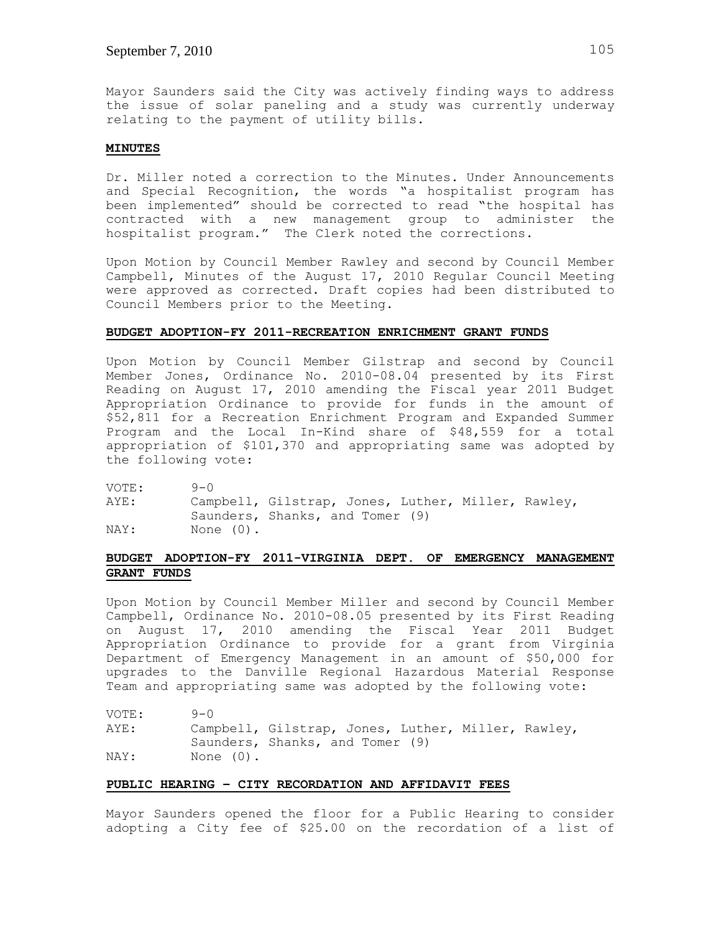Mayor Saunders said the City was actively finding ways to address the issue of solar paneling and a study was currently underway relating to the payment of utility bills.

#### **MINUTES**

Dr. Miller noted a correction to the Minutes. Under Announcements and Special Recognition, the words "a hospitalist program has been implemented" should be corrected to read "the hospital has contracted with a new management group to administer the hospitalist program." The Clerk noted the corrections.

Upon Motion by Council Member Rawley and second by Council Member Campbell, Minutes of the August 17, 2010 Regular Council Meeting were approved as corrected. Draft copies had been distributed to Council Members prior to the Meeting.

### **BUDGET ADOPTION-FY 2011-RECREATION ENRICHMENT GRANT FUNDS**

Upon Motion by Council Member Gilstrap and second by Council Member Jones, Ordinance No. 2010-08.04 presented by its First Reading on August 17, 2010 amending the Fiscal year 2011 Budget Appropriation Ordinance to provide for funds in the amount of \$52,811 for a Recreation Enrichment Program and Expanded Summer Program and the Local In-Kind share of \$48,559 for a total appropriation of \$101,370 and appropriating same was adopted by the following vote:

VOTE: 9-0

AYE: Campbell, Gilstrap, Jones, Luther, Miller, Rawley, Saunders, Shanks, and Tomer (9) NAY: None (0).

# **BUDGET ADOPTION-FY 2011-VIRGINIA DEPT. OF EMERGENCY MANAGEMENT GRANT FUNDS**

Upon Motion by Council Member Miller and second by Council Member Campbell, Ordinance No. 2010-08.05 presented by its First Reading on August 17, 2010 amending the Fiscal Year 2011 Budget Appropriation Ordinance to provide for a grant from Virginia Department of Emergency Management in an amount of \$50,000 for upgrades to the Danville Regional Hazardous Material Response Team and appropriating same was adopted by the following vote:

| VOTE: | $9 - 0$      |                                                    |  |  |
|-------|--------------|----------------------------------------------------|--|--|
| AYE:  |              | Campbell, Gilstrap, Jones, Luther, Miller, Rawley, |  |  |
|       |              | Saunders, Shanks, and Tomer (9)                    |  |  |
| NAY:  | None $(0)$ . |                                                    |  |  |

#### **PUBLIC HEARING – CITY RECORDATION AND AFFIDAVIT FEES**

Mayor Saunders opened the floor for a Public Hearing to consider adopting a City fee of \$25.00 on the recordation of a list of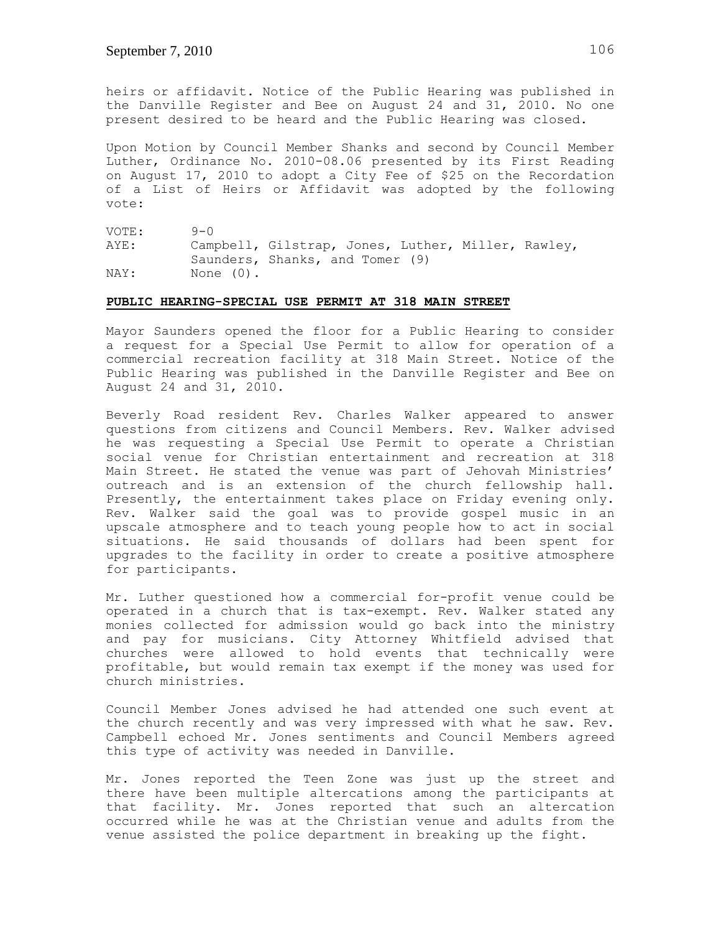heirs or affidavit. Notice of the Public Hearing was published in the Danville Register and Bee on August 24 and 31, 2010. No one present desired to be heard and the Public Hearing was closed.

Upon Motion by Council Member Shanks and second by Council Member Luther, Ordinance No. 2010-08.06 presented by its First Reading on August 17, 2010 to adopt a City Fee of \$25 on the Recordation of a List of Heirs or Affidavit was adopted by the following vote:

VOTE: 9-0 AYE: Campbell, Gilstrap, Jones, Luther, Miller, Rawley, Saunders, Shanks, and Tomer (9) NAY: None (0).

#### **PUBLIC HEARING-SPECIAL USE PERMIT AT 318 MAIN STREET**

Mayor Saunders opened the floor for a Public Hearing to consider a request for a Special Use Permit to allow for operation of a commercial recreation facility at 318 Main Street. Notice of the Public Hearing was published in the Danville Register and Bee on August 24 and 31, 2010.

Beverly Road resident Rev. Charles Walker appeared to answer questions from citizens and Council Members. Rev. Walker advised he was requesting a Special Use Permit to operate a Christian social venue for Christian entertainment and recreation at 318 Main Street. He stated the venue was part of Jehovah Ministries' outreach and is an extension of the church fellowship hall. Presently, the entertainment takes place on Friday evening only. Rev. Walker said the goal was to provide gospel music in an upscale atmosphere and to teach young people how to act in social situations. He said thousands of dollars had been spent for upgrades to the facility in order to create a positive atmosphere for participants.

Mr. Luther questioned how a commercial for-profit venue could be operated in a church that is tax-exempt. Rev. Walker stated any monies collected for admission would go back into the ministry and pay for musicians. City Attorney Whitfield advised that churches were allowed to hold events that technically were profitable, but would remain tax exempt if the money was used for church ministries.

Council Member Jones advised he had attended one such event at the church recently and was very impressed with what he saw. Rev. Campbell echoed Mr. Jones sentiments and Council Members agreed this type of activity was needed in Danville.

Mr. Jones reported the Teen Zone was just up the street and there have been multiple altercations among the participants at that facility. Mr. Jones reported that such an altercation occurred while he was at the Christian venue and adults from the venue assisted the police department in breaking up the fight.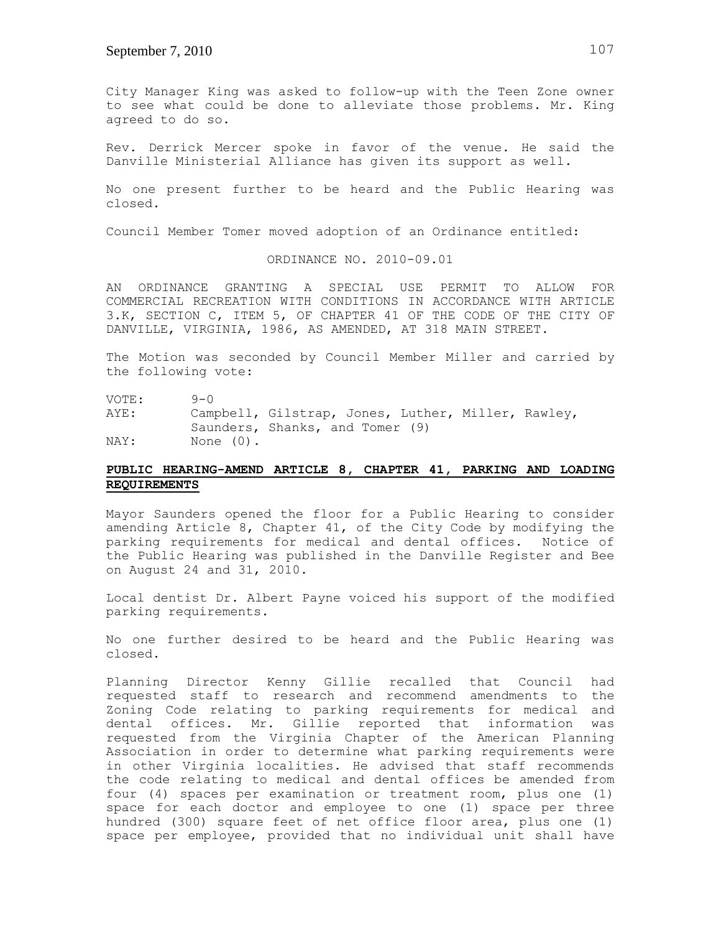City Manager King was asked to follow-up with the Teen Zone owner to see what could be done to alleviate those problems. Mr. King agreed to do so.

Rev. Derrick Mercer spoke in favor of the venue. He said the Danville Ministerial Alliance has given its support as well.

No one present further to be heard and the Public Hearing was closed.

Council Member Tomer moved adoption of an Ordinance entitled:

ORDINANCE NO. 2010-09.01

AN ORDINANCE GRANTING A SPECIAL USE PERMIT TO ALLOW FOR COMMERCIAL RECREATION WITH CONDITIONS IN ACCORDANCE WITH ARTICLE 3.K, SECTION C, ITEM 5, OF CHAPTER 41 OF THE CODE OF THE CITY OF DANVILLE, VIRGINIA, 1986, AS AMENDED, AT 318 MAIN STREET.

The Motion was seconded by Council Member Miller and carried by the following vote:

VOTE: 9-0

AYE: Campbell, Gilstrap, Jones, Luther, Miller, Rawley, Saunders, Shanks, and Tomer (9) NAY: None (0).

## **PUBLIC HEARING-AMEND ARTICLE 8, CHAPTER 41, PARKING AND LOADING REQUIREMENTS**

Mayor Saunders opened the floor for a Public Hearing to consider amending Article 8, Chapter 41, of the City Code by modifying the parking requirements for medical and dental offices. Notice of the Public Hearing was published in the Danville Register and Bee on August 24 and 31, 2010.

Local dentist Dr. Albert Payne voiced his support of the modified parking requirements.

No one further desired to be heard and the Public Hearing was closed.

Planning Director Kenny Gillie recalled that Council had requested staff to research and recommend amendments to the Zoning Code relating to parking requirements for medical and dental offices. Mr. Gillie reported that information was requested from the Virginia Chapter of the American Planning Association in order to determine what parking requirements were in other Virginia localities. He advised that staff recommends the code relating to medical and dental offices be amended from four (4) spaces per examination or treatment room, plus one (1) space for each doctor and employee to one (1) space per three hundred (300) square feet of net office floor area, plus one (1) space per employee, provided that no individual unit shall have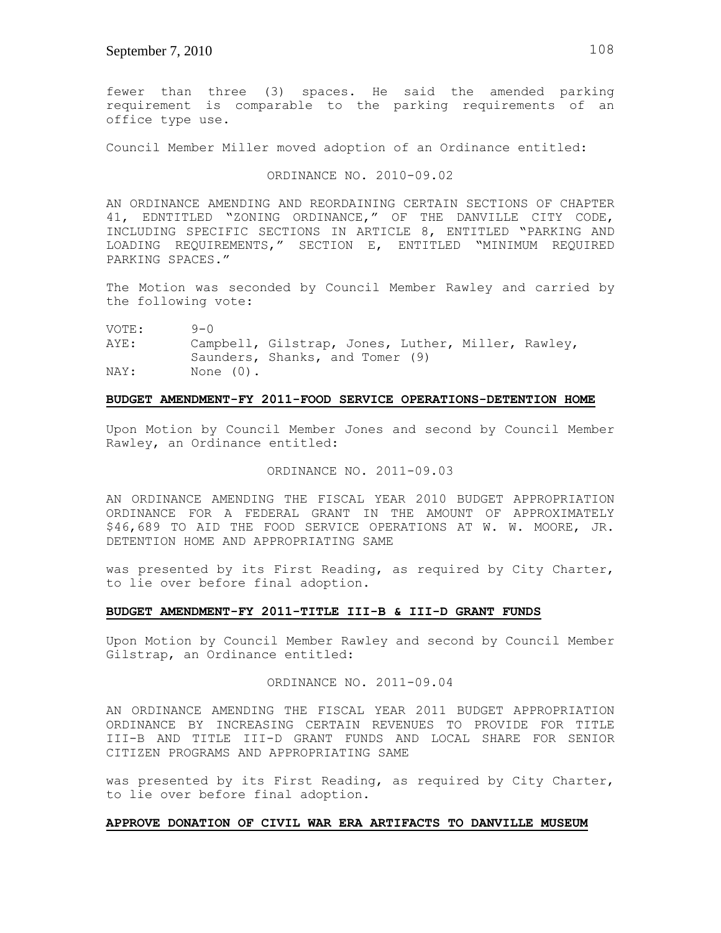fewer than three (3) spaces. He said the amended parking requirement is comparable to the parking requirements of an office type use.

Council Member Miller moved adoption of an Ordinance entitled:

## ORDINANCE NO. 2010-09.02

AN ORDINANCE AMENDING AND REORDAINING CERTAIN SECTIONS OF CHAPTER 41, EDNTITLED "ZONING ORDINANCE," OF THE DANVILLE CITY CODE, INCLUDING SPECIFIC SECTIONS IN ARTICLE 8, ENTITLED "PARKING AND LOADING REQUIREMENTS," SECTION E, ENTITLED "MINIMUM REQUIRED PARKING SPACES."

The Motion was seconded by Council Member Rawley and carried by the following vote:

VOTE: 9-0

AYE: Campbell, Gilstrap, Jones, Luther, Miller, Rawley, Saunders, Shanks, and Tomer (9) NAY: None (0).

### **BUDGET AMENDMENT-FY 2011-FOOD SERVICE OPERATIONS-DETENTION HOME**

Upon Motion by Council Member Jones and second by Council Member Rawley, an Ordinance entitled:

### ORDINANCE NO. 2011-09.03

AN ORDINANCE AMENDING THE FISCAL YEAR 2010 BUDGET APPROPRIATION ORDINANCE FOR A FEDERAL GRANT IN THE AMOUNT OF APPROXIMATELY \$46,689 TO AID THE FOOD SERVICE OPERATIONS AT W. W. MOORE, JR. DETENTION HOME AND APPROPRIATING SAME

was presented by its First Reading, as required by City Charter, to lie over before final adoption.

#### **BUDGET AMENDMENT-FY 2011-TITLE III-B & III-D GRANT FUNDS**

Upon Motion by Council Member Rawley and second by Council Member Gilstrap, an Ordinance entitled:

## ORDINANCE NO. 2011-09.04

AN ORDINANCE AMENDING THE FISCAL YEAR 2011 BUDGET APPROPRIATION ORDINANCE BY INCREASING CERTAIN REVENUES TO PROVIDE FOR TITLE III-B AND TITLE III-D GRANT FUNDS AND LOCAL SHARE FOR SENIOR CITIZEN PROGRAMS AND APPROPRIATING SAME

was presented by its First Reading, as required by City Charter, to lie over before final adoption.

### **APPROVE DONATION OF CIVIL WAR ERA ARTIFACTS TO DANVILLE MUSEUM**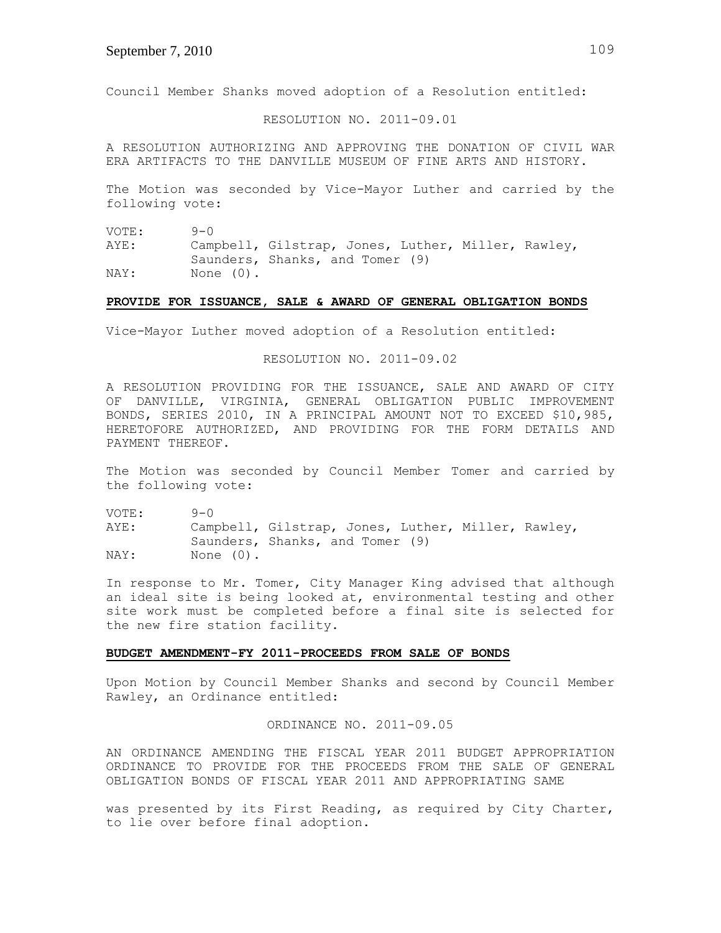Council Member Shanks moved adoption of a Resolution entitled:

RESOLUTION NO. 2011-09.01

A RESOLUTION AUTHORIZING AND APPROVING THE DONATION OF CIVIL WAR ERA ARTIFACTS TO THE DANVILLE MUSEUM OF FINE ARTS AND HISTORY.

The Motion was seconded by Vice-Mayor Luther and carried by the following vote:

VOTE: 9-0 AYE: Campbell, Gilstrap, Jones, Luther, Miller, Rawley, Saunders, Shanks, and Tomer (9) NAY: None (0).

#### **PROVIDE FOR ISSUANCE, SALE & AWARD OF GENERAL OBLIGATION BONDS**

Vice-Mayor Luther moved adoption of a Resolution entitled:

RESOLUTION NO. 2011-09.02

A RESOLUTION PROVIDING FOR THE ISSUANCE, SALE AND AWARD OF CITY OF DANVILLE, VIRGINIA, GENERAL OBLIGATION PUBLIC IMPROVEMENT BONDS, SERIES 2010, IN A PRINCIPAL AMOUNT NOT TO EXCEED \$10,985, HERETOFORE AUTHORIZED, AND PROVIDING FOR THE FORM DETAILS AND PAYMENT THEREOF.

The Motion was seconded by Council Member Tomer and carried by the following vote:

VOTE: 9-0 AYE: Campbell, Gilstrap, Jones, Luther, Miller, Rawley, Saunders, Shanks, and Tomer (9) NAY: None (0).

In response to Mr. Tomer, City Manager King advised that although an ideal site is being looked at, environmental testing and other site work must be completed before a final site is selected for the new fire station facility.

#### **BUDGET AMENDMENT-FY 2011-PROCEEDS FROM SALE OF BONDS**

Upon Motion by Council Member Shanks and second by Council Member Rawley, an Ordinance entitled:

ORDINANCE NO. 2011-09.05

AN ORDINANCE AMENDING THE FISCAL YEAR 2011 BUDGET APPROPRIATION ORDINANCE TO PROVIDE FOR THE PROCEEDS FROM THE SALE OF GENERAL OBLIGATION BONDS OF FISCAL YEAR 2011 AND APPROPRIATING SAME

was presented by its First Reading, as required by City Charter, to lie over before final adoption.